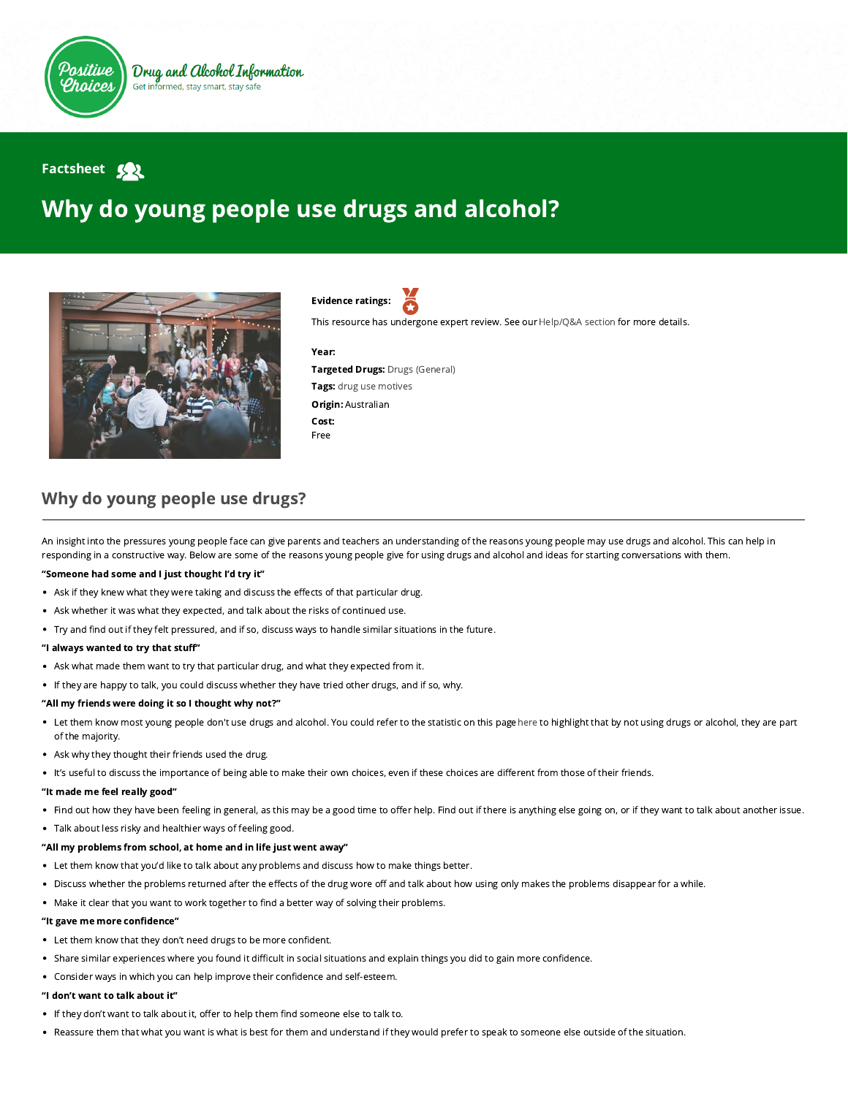

## **Factsheet**

# Why do young people use drugs and alcohol?



Evidence ratings:

This resource has undergone expert review. See our [Help/Q&A section](https://positivechoices.org.au/help/questions-and-answers/) for more details.

#### Year:

Targeted Drugs: Drugs (General) Tags: drug use motives Origin: Australian Cost: Free

### Why do young people use drugs?

An insight into the pressures young people face can give parents and teachers an understanding of the reasons young people may use drugs and alcohol. This can help in responding in a constructive way. Below are some of the reasons young people give for using drugs and alcohol and ideas for starting conversations with them.

#### "Someone had some and I just thought I'd try it"

- Ask if they knew what they were taking and discuss the effects of that particular drug.
- Ask whether it was what they expected, and talk about the risks of continued use.
- . Try and find out if they felt pressured, and if so, discuss ways to handle similar situations in the future.

#### "I always wanted to try that stuff"

- Ask what made them want to try that particular drug, and what they expected from it.
- If they are happy to talk, you could discuss whether they have tried other drugs, and if so, why.

#### "All my friends were doing it so I thought why not?"

- Let them know most young people don't use drugs and alcohol. You could refer to the statistic on this pagehere to highlight that by not using drugs or alcohol, they are part of the majority.
- Ask why they thought their friends used the drug.
- . It's useful to discuss the importance of being able to make their own choices, even if these choices are different from those of their friends.

#### "It made me feel really good"

- Find out how they have been feeling in general, as this may be a good time to offer help. Find out if there is anything else going on, or if they want to talk about another issue.
- Talk about less risky and healthier ways of feeling good.

#### "All my problems from school, at home and in life just went away"

- Let them know that you'd like to talk about any problems and discuss how to make things better.
- . Discuss whether the problems returned after the effects of the drug wore off and talk about how using only makes the problems disappear for a while.
- Make it clear that you want to work together to find a better way of solving their problems.

#### "It gave me more confidence"

- Let them know that they don't need drugs to be more confident.
- Share similar experiences where you found it difficult in social situations and explain things you did to gain more confidence.
- Consider ways in which you can help improve their confidence and self-esteem.

#### "I don't want to talk about it"

- If they don't want to talk about it, offer to help them find someone else to talk to.
- . Reassure them that what you want is what is best for them and understand if they would prefer to speak to someone else outside of the situation.